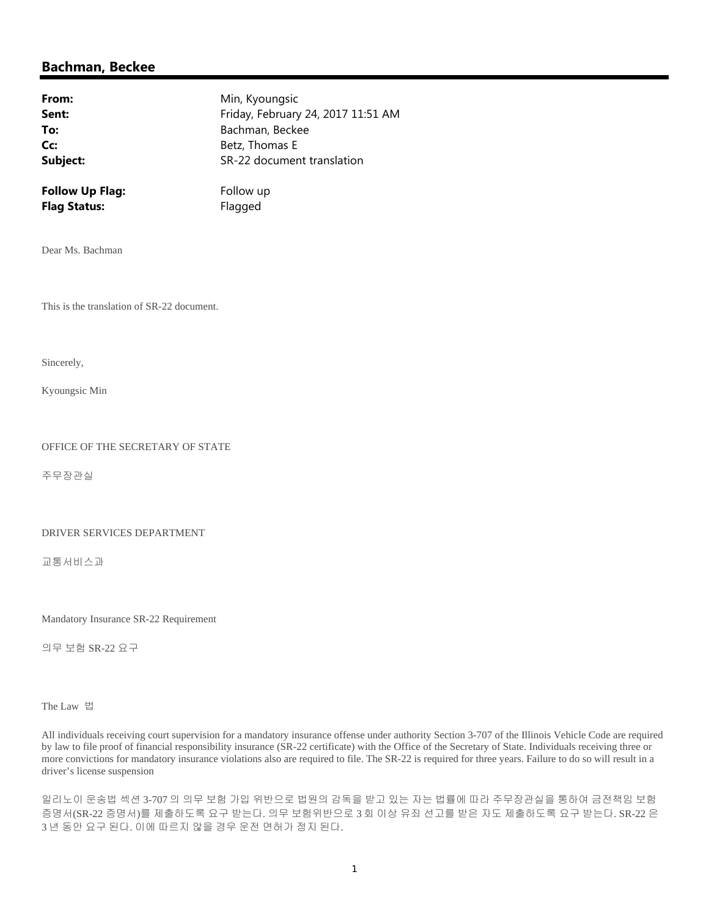## **Bachman, Beckee**

| From:                  | Min, Kyoungsic                     |
|------------------------|------------------------------------|
| Sent:                  | Friday, February 24, 2017 11:51 AM |
| To:                    | Bachman, Beckee                    |
| Cc:                    | Betz, Thomas E                     |
| Subject:               | SR-22 document translation         |
| <b>Follow Up Flag:</b> | Follow up                          |

Dear Ms. Bachman

This is the translation of SR-22 document.

**Flag Status:** Flagged

Sincerely,

Kyoungsic Min

## OFFICE OF THE SECRETARY OF STATE

주무장관실

## DRIVER SERVICES DEPARTMENT

교통서비스과

Mandatory Insurance SR-22 Requirement

의무 보험 SR-22 요구

The Law 법

All individuals receiving court supervision for a mandatory insurance offense under authority Section 3-707 of the Illinois Vehicle Code are required by law to file proof of financial responsibility insurance (SR-22 certificate) with the Office of the Secretary of State. Individuals receiving three or more convictions for mandatory insurance violations also are required to file. The SR-22 is required for three years. Failure to do so will result in a driver's license suspension

일리노이 운송법 섹션 3-707 의 의무 보험 가입 위반으로 법원의 감독을 받고 있는 자는 법률에 따라 주무장관실을 통하여 금전책임 보험 증명서(SR-22 증명서)를 제출하도록 요구 받는다. 의무 보험위반으로 3 회 이상 유죄 선고를 받은 자도 제출하도록 요구 받는다. SR-22 은 3 년 동안 요구 된다. 이에 따르지 않을 경우 운전 면허가 정지 된다.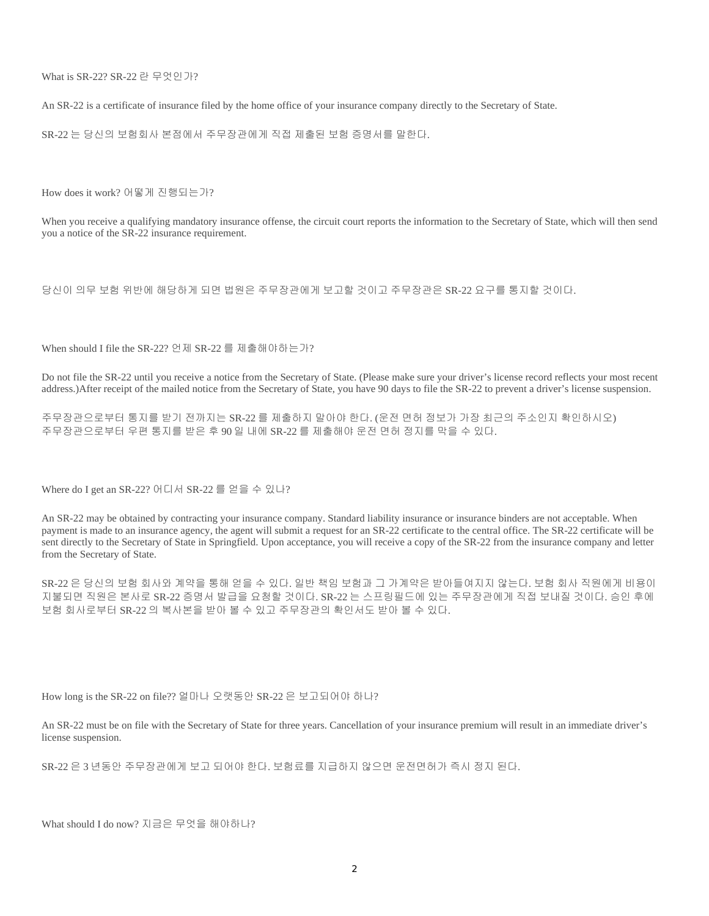What is SR-22? SR-22 란 무엇인가?

An SR-22 is a certificate of insurance filed by the home office of your insurance company directly to the Secretary of State.

SR-22 는 당신의 보험회사 본점에서 주무장관에게 직접 제출된 보험 증명서를 말한다.

How does it work? 어떻게 진행되는가?

When you receive a qualifying mandatory insurance offense, the circuit court reports the information to the Secretary of State, which will then send you a notice of the SR-22 insurance requirement.

당신이 의무 보험 위반에 해당하게 되면 법원은 주무장관에게 보고할 것이고 주무장관은 SR-22 요구를 통지할 것이다.

When should I file the SR-22? 언제 SR-22 를 제출해야하는가?

Do not file the SR-22 until you receive a notice from the Secretary of State. (Please make sure your driver's license record reflects your most recent address.)After receipt of the mailed notice from the Secretary of State, you have 90 days to file the SR-22 to prevent a driver's license suspension.

주무장관으로부터 통지를 받기 전까지는 SR-22 를 제출하지 말아야 한다. (운전 면허 정보가 가장 최근의 주소인지 확인하시오) 주무장관으로부터 우편 통지를 받은 후 90 일 내에 SR-22 를 제출해야 운전 면허 정지를 막을 수 있다.

Where do I get an SR-22? 어디서 SR-22 를 얻을 수 있나?

An SR-22 may be obtained by contracting your insurance company. Standard liability insurance or insurance binders are not acceptable. When payment is made to an insurance agency, the agent will submit a request for an SR-22 certificate to the central office. The SR-22 certificate will be sent directly to the Secretary of State in Springfield. Upon acceptance, you will receive a copy of the SR-22 from the insurance company and letter from the Secretary of State.

SR-22 은 당신의 보험 회사와 계약을 통해 얻을 수 있다. 일반 책임 보험과 그 가계약은 받아들여지지 않는다. 보험 회사 직원에게 비용이 지불되면 직원은 본사로 SR-22 증명서 발급을 요청할 것이다. SR-22 는 스프링필드에 있는 주무장관에게 직접 보내질 것이다. 승인 후에 보험 회사로부터 SR-22 의 복사본을 받아 볼 수 있고 주무장관의 확인서도 받아 볼 수 있다.

How long is the SR-22 on file?? 얼마나 오랫동안 SR-22 은 보고되어야 하나?

An SR-22 must be on file with the Secretary of State for three years. Cancellation of your insurance premium will result in an immediate driver's license suspension.

SR-22 은 3 년동안 주무장관에게 보고 되어야 한다. 보험료를 지급하지 않으면 운전면허가 즉시 정지 된다.

What should I do now? 지금은 무엇을 해야하나?